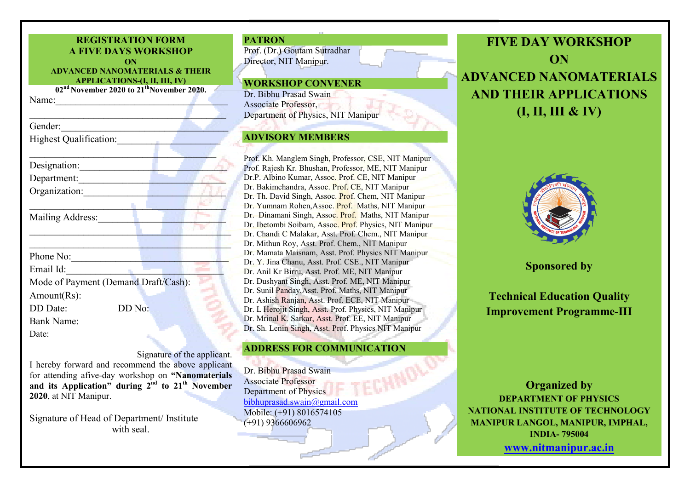| <b>REGISTRATION FORM</b><br><b>A FIVE DAYS WORKSHOP</b><br>ON<br><b>ADVANCED NANOMATERIALS &amp; THEIR</b><br><b>APPLICATIONS-(I, II, III, IV)</b> |                                                                   |  |  |  |
|----------------------------------------------------------------------------------------------------------------------------------------------------|-------------------------------------------------------------------|--|--|--|
| Name:                                                                                                                                              | 02 <sup>nd</sup> November 2020 to 21 <sup>th</sup> November 2020. |  |  |  |
| <u> 1980 - Jan Barbara Barbara, ma</u>                                                                                                             |                                                                   |  |  |  |
| Gender:                                                                                                                                            |                                                                   |  |  |  |
| <b>Highest Qualification:</b>                                                                                                                      |                                                                   |  |  |  |
|                                                                                                                                                    |                                                                   |  |  |  |
| Designation:                                                                                                                                       |                                                                   |  |  |  |
| Department:                                                                                                                                        |                                                                   |  |  |  |
| Organization: New York New York 1989                                                                                                               |                                                                   |  |  |  |
| Mailing Address:                                                                                                                                   |                                                                   |  |  |  |
| Phone No:                                                                                                                                          |                                                                   |  |  |  |
| Email Id:                                                                                                                                          | <b>Contract Contract</b>                                          |  |  |  |
|                                                                                                                                                    | Mode of Payment (Demand Draft/Cash):                              |  |  |  |
| Amount(Rs):                                                                                                                                        |                                                                   |  |  |  |
| DD Date:                                                                                                                                           | DD No:                                                            |  |  |  |
| <b>Bank Name:</b>                                                                                                                                  |                                                                   |  |  |  |
| Date:                                                                                                                                              |                                                                   |  |  |  |

Signature of the applicant. I hereby forward and recommend the above applicant for attending afive-day workshop on "Nanomaterials and its Application" during  $2^{nd}$  to  $21^{th}$  November 2020, at NIT Manipur.

Signature of Head of Department/ Institute with seal.



## ADVISORY MEMBERS

Prof. Prof. Kh. Manglem Singh, Professor, CSE, NIT Manipur Prof. Rajesh Kr. Bhushan, Professor, ME, NIT Manipur Dr.P. Albino Kumar, Assoc. Prof. CE, NIT Manipur Dr. Bakimchandra, Assoc. Prof. CE, NIT Manipur Dr. Th. David Singh, Assoc. Prof. Chem, NIT Manipur Dr. Yumnam Rohen, Assoc. Prof. Maths, NIT Manipur Dr. Dinamani Singh, Assoc. Prof. Maths, NIT Manipur Dr. Ibetombi Soibam, Assoc. Prof. Physics, NIT Manipur Dr. Chandi C Malakar, Asst. Prof. Chem., NIT Manipur Dr. Mithun Roy, Asst. Prof. Chem., NIT Manipur Dr. Mamata Maisnam, Asst. Prof. Physics NIT Manipur Dr. Y. Jina Chanu, Asst. Prof. CSE., NIT Manipur Dr. Anil Kr Birru, Asst. Prof. ME, NIT Manipur Dr. Dushyant Singh, Asst. Prof. ME, NIT Manipur Dr. Sunil Panday, Asst. Prof. Maths, NIT Manipur Dr. Ashish Ranjan Ranjan, Asst. Prof. ECE, NIT Manipur Dr. L Herojit Singh, Asst. Prof. Physics, NIT Manipur Dr. Mrinal K. Sarkar, Asst. Prof. EE, NIT Manipur Dr. Sh. Lenin Singh, Asst. Prof. Physics NIT Manipur

## ADDRESS FOR COMMUNICATION

Dr. Bibhu Prasad Swain Associate Professor Department of Physics bibhuprasad.swain@gmail.com Mobile: (+91) 8016574105 (+91) 9366606962

FIVE DAY WORKSHOP ADVANCED NANOMATERIALS AND THEIR APPLICATIONS **ON** (I, II, III & IV)



Sponsored by

Technical Education Quality **Improvement Programme-III** 

NATIONAL INSTITUTE OF TECHNOLOGY MANIPUR LANGOL, MANIPUR, IMPHAL, Organized by DEPARTMENT OF PHYSICS INDIA- 795004 www.nitmanipur.ac.in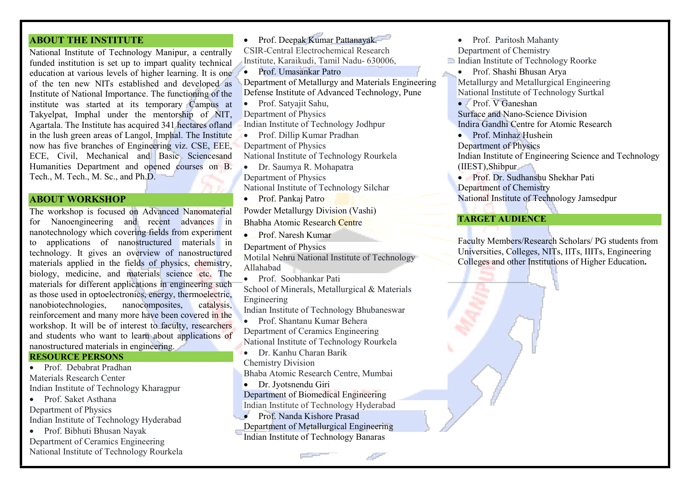### ABOUT THE INSTITUTE

National Institute of Technology Manipur, a centrally funded institution is set up to impart quality technical education at various levels of higher learning. It is one of the ten new NITs established and developed as Institute of National Importance. The functioning of the institute was started at its temporary Campus at Takyelpat, Imphal under the mentorship of NIT, Agartala. The Institute has acquired 341 hectares ofland in the lush green areas of Langol, Imphal. The Institute now has five branches of Engineering viz. CSE, EEE, ECE, Civil, Mechanical and Basic Sciencesand Humanities Department and opened courses on B. Tech., M. Tech., M. Sc., and Ph.D.

#### ABOUT WORKSHOP

The workshop is focused on Advanced Nanomaterial for Nanoengineering and recent advances in nanotechnology which covering fields from experiment to applications of nanostructured materials in technology. It gives an overview of nanostructured materials applied in the fields of physics, chemistry, biology, medicine, and materials science etc. The materials for different applications in engineering such as those used in optoelectronics, energy, thermoelectric, nanobiotechnologies, nanocomposites, catalysis, reinforcement and many more have been covered in the workshop. It will be of interest to faculty, researchers and students who want to learn about applications of nanostructured materials in engineering.

#### RESOURCE PERSONS

- Prof. Debabrat Pradhan Materials Research Center Indian Institute of Technology Kharagpur
- Prof. Saket Asthana Department of Physics Indian Institute of Technology Hyderabad
- Prof. Bibhuti Bhusan Nayak Department of Ceramics Engineering National Institute of Technology Rourkela

 Prof. Deepak Kumar Pattanayak. CSIR-Central Electrochemical Research Institute, Karaikudi, Tamil Nadu- 630006, **Prof. Umasankar Patro** Department of Metallurgy and Materials Engineering Defense Institute of Advanced Technology, Pune Prof. Satyajit Sahu, Department of Physics Indian Institute of Technology Jodhpur Prof. Dillip Kumar Pradhan Department of Physics National Institute of Technology Rourkela Dr. Saumya R. Mohapatra Department of Physics National Institute of Technology Silchar

- Prof. Pankaj Patro Powder Metallurgy Division (Vashi) Bhabha Atomic Research Centre
- Prof. Naresh Kumar
- Department of Physics Motilal Nehru National Institute of Technology Allahabad
- Prof. Soobhankar Pati

School of Minerals, Metallurgical & Materials Engineering

Indian Institute of Technology Bhubaneswar

- Prof. Shantanu Kumar Behera Department of Ceramics Engineering National Institute of Technology Rourkela
- Dr. Kanhu Charan Barik Chemistry Division

Bhaba Atomic Research Centre, Mumbai

- Dr. Jyotsnendu Giri Department of Biomedical Engineering Indian Institute of Technology Hyderabad
- Prof. Nanda Kishore Prasad Department of Metallurgical Engineering Indian Institute of Technology Banaras

• Prof. Paritosh Mahanty Department of Chemistry Indian Institute of Technology Roorke Prof. Shashi Bhusan Arya Metallurgy and Metallurgical Engineering National Institute of Technology Surtkal • Prof. V Ganeshan Surface and Nano-Science Division Indira Gandhi Centre for Atomic Research • Prof. Minhaz Hushein Department of Physics Indian Institute of Engineering Science and Technology (IIEST),Shibpur Prof. Dr. Sudhanshu Shekhar Pati

Department of Chemistry National Institute of Technology Jamsedpur

#### TARGET AUDIENCE

Faculty Members/Research Scholars/ PG students from Universities, Colleges, NITs, IITs, IIITs, Engineering Colleges and other Institutions of Higher Education.